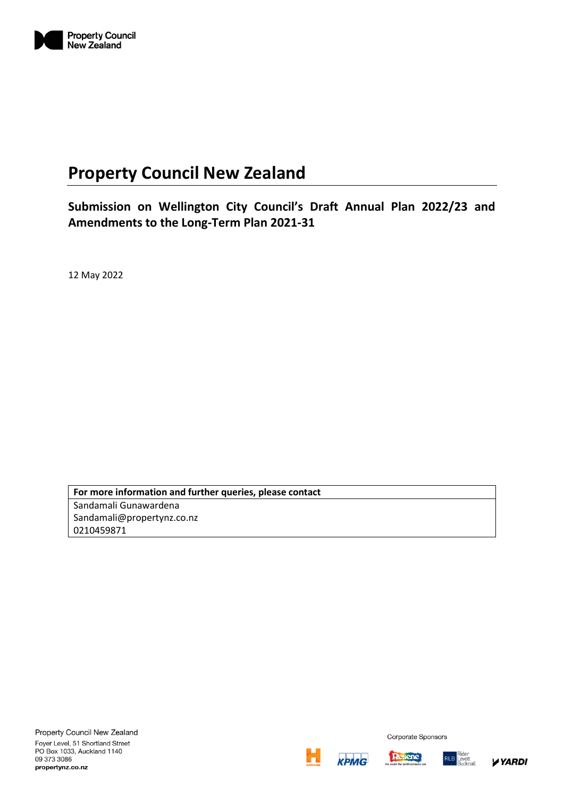

# **Property Council New Zealand**

**Submission on Wellington City Council's Draft Annual Plan 2022/23 and Amendments to the Long-Term Plan 2021-31**

12 May 2022

**For more information and further queries, please contact** Sandamali Gunawardena Sandamali@propertynz.co.nz 0210459871





Corporate Sponsors

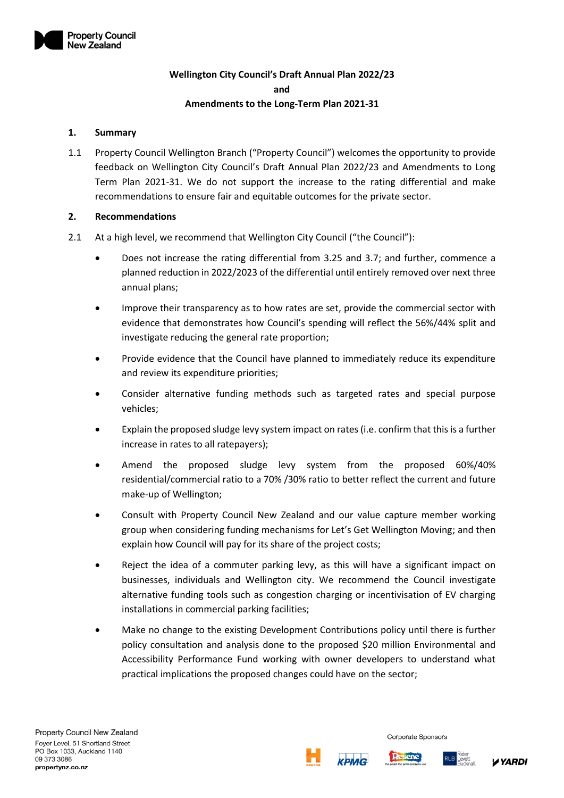

# **Wellington City Council's Draft Annual Plan 2022/23 and Amendments to the Long-Term Plan 2021-31**

#### **1. Summary**

1.1 Property Council Wellington Branch ("Property Council") welcomes the opportunity to provide feedback on Wellington City Council's Draft Annual Plan 2022/23 and Amendments to Long Term Plan 2021-31. We do not support the increase to the rating differential and make recommendations to ensure fair and equitable outcomes for the private sector.

#### **2. Recommendations**

- 2.1 At a high level, we recommend that Wellington City Council ("the Council"):
	- Does not increase the rating differential from 3.25 and 3.7; and further, commence a planned reduction in 2022/2023 of the differential until entirely removed over next three annual plans;
	- Improve their transparency as to how rates are set, provide the commercial sector with evidence that demonstrates how Council's spending will reflect the 56%/44% split and investigate reducing the general rate proportion;
	- Provide evidence that the Council have planned to immediately reduce its expenditure and review its expenditure priorities;
	- Consider alternative funding methods such as targeted rates and special purpose vehicles;
	- Explain the proposed sludge levy system impact on rates (i.e. confirm that this is a further increase in rates to all ratepayers);
	- Amend the proposed sludge levy system from the proposed 60%/40% residential/commercial ratio to a 70% /30% ratio to better reflect the current and future make-up of Wellington;
	- Consult with Property Council New Zealand and our value capture member working group when considering funding mechanisms for Let's Get Wellington Moving; and then explain how Council will pay for its share of the project costs;
	- Reject the idea of a commuter parking levy, as this will have a significant impact on businesses, individuals and Wellington city. We recommend the Council investigate alternative funding tools such as congestion charging or incentivisation of EV charging installations in commercial parking facilities;
	- Make no change to the existing Development Contributions policy until there is further policy consultation and analysis done to the proposed \$20 million Environmental and Accessibility Performance Fund working with owner developers to understand what practical implications the proposed changes could have on the sector;



Corporate Sponsors

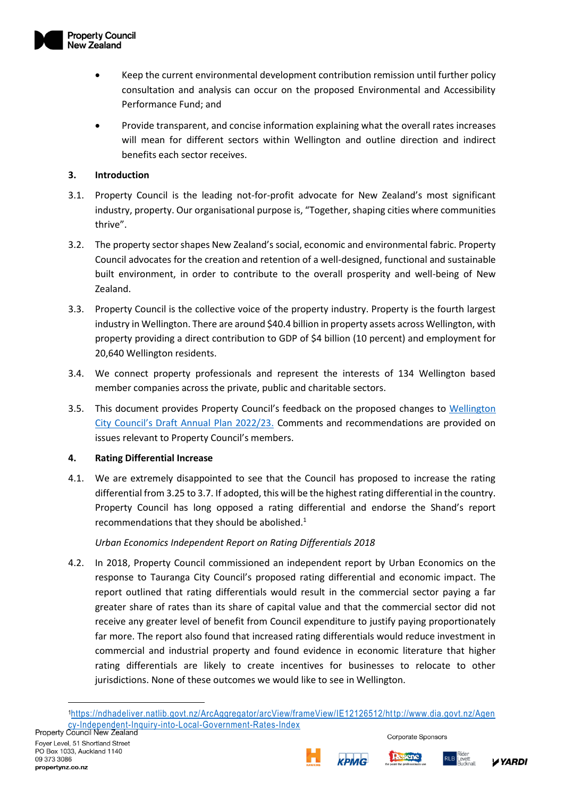

- Keep the current environmental development contribution remission until further policy consultation and analysis can occur on the proposed Environmental and Accessibility Performance Fund; and
- Provide transparent, and concise information explaining what the overall rates increases will mean for different sectors within Wellington and outline direction and indirect benefits each sector receives.

## **3. Introduction**

- 3.1. Property Council is the leading not-for-profit advocate for New Zealand's most significant industry, property. Our organisational purpose is, "Together, shaping cities where communities thrive".
- 3.2. The property sector shapes New Zealand's social, economic and environmental fabric. Property Council advocates for the creation and retention of a well-designed, functional and sustainable built environment, in order to contribute to the overall prosperity and well-being of New Zealand.
- 3.3. Property Council is the collective voice of the property industry. Property is the fourth largest industry in Wellington. There are around \$40.4 billion in property assets across Wellington, with property providing a direct contribution to GDP of \$4 billion (10 percent) and employment for 20,640 Wellington residents.
- 3.4. We connect property professionals and represent the interests of 134 Wellington based member companies across the private, public and charitable sectors.
- 3.5. This document provides Property Council's feedback on the proposed changes to [Wellington](https://www.letstalk.wellington.govt.nz/our-plan)  [City Council's Draft Annual Plan 2022/23](https://www.letstalk.wellington.govt.nz/our-plan). Comments and recommendations are provided on issues relevant to Property Council's members.

## **4. Rating Differential Increase**

4.1. We are extremely disappointed to see that the Council has proposed to increase the rating differential from 3.25 to 3.7. If adopted, this will be the highest rating differential in the country. Property Council has long opposed a rating differential and endorse the Shand's report recommendations that they should be abolished.<sup>1</sup>

## *Urban Economics Independent Report on Rating Differentials 2018*

4.2. In 2018, Property Council commissioned an independent report by Urban Economics on the response to Tauranga City Council's proposed rating differential and economic impact. The report outlined that rating differentials would result in the commercial sector paying a far greater share of rates than its share of capital value and that the commercial sector did not receive any greater level of benefit from Council expenditure to justify paying proportionately far more. The report also found that increased rating differentials would reduce investment in commercial and industrial property and found evidence in economic literature that higher rating differentials are likely to create incentives for businesses to relocate to other jurisdictions. None of these outcomes we would like to see in Wellington.



**Desene** 



<sup>1</sup>[https://ndhadeliver.natlib.govt.nz/ArcAggregator/arcView/frameView/IE12126512/ht](https://ndhadeliver.natlib.govt.nz/ArcAggregator/arcView/frameView/IE12126512/http:/www.dia.govt.nz/Agency-Independent-Inquiry-into-Local-Government-Rates-Index) tp://www.dia.govt.nz/Agen [cy-Independent-Inquiry-into-Local-Government-Rates-Index](https://ndhadeliver.natlib.govt.nz/ArcAggregator/arcView/frameView/IE12126512/http:/www.dia.govt.nz/Agency-Independent-Inquiry-into-Local-Government-Rates-Index)<br>Property Council New Zealand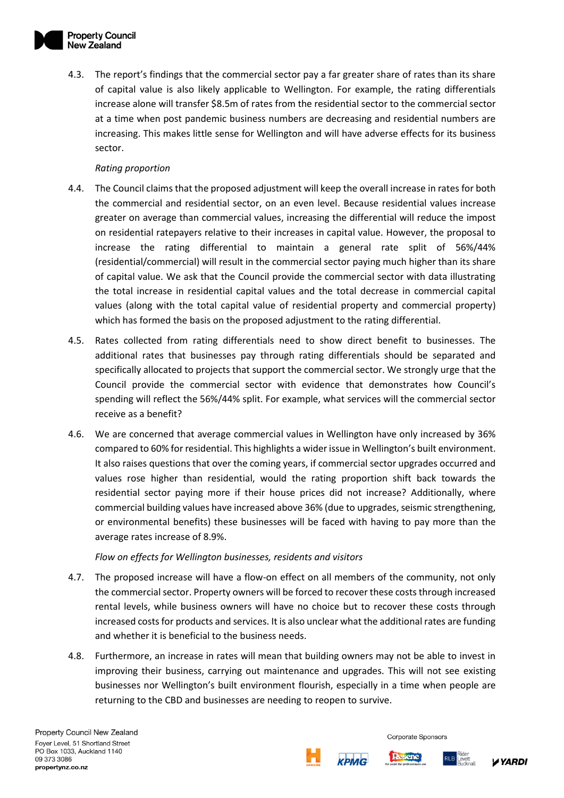4.3. The report's findings that the commercial sector pay a far greater share of rates than its share of capital value is also likely applicable to Wellington. For example, the rating differentials increase alone will transfer \$8.5m of rates from the residential sector to the commercial sector at a time when post pandemic business numbers are decreasing and residential numbers are increasing. This makes little sense for Wellington and will have adverse effects for its business sector.

## *Rating proportion*

- 4.4. The Council claims that the proposed adjustment will keep the overall increase in rates for both the commercial and residential sector, on an even level. Because residential values increase greater on average than commercial values, increasing the differential will reduce the impost on residential ratepayers relative to their increases in capital value. However, the proposal to increase the rating differential to maintain a general rate split of 56%/44% (residential/commercial) will result in the commercial sector paying much higher than its share of capital value. We ask that the Council provide the commercial sector with data illustrating the total increase in residential capital values and the total decrease in commercial capital values (along with the total capital value of residential property and commercial property) which has formed the basis on the proposed adjustment to the rating differential.
- 4.5. Rates collected from rating differentials need to show direct benefit to businesses. The additional rates that businesses pay through rating differentials should be separated and specifically allocated to projects that support the commercial sector. We strongly urge that the Council provide the commercial sector with evidence that demonstrates how Council's spending will reflect the 56%/44% split. For example, what services will the commercial sector receive as a benefit?
- 4.6. We are concerned that average commercial values in Wellington have only increased by 36% compared to 60% for residential. This highlights a wider issue in Wellington's built environment. It also raises questions that over the coming years, if commercial sector upgrades occurred and values rose higher than residential, would the rating proportion shift back towards the residential sector paying more if their house prices did not increase? Additionally, where commercial building values have increased above 36% (due to upgrades, seismic strengthening, or environmental benefits) these businesses will be faced with having to pay more than the average rates increase of 8.9%.

*Flow on effects for Wellington businesses, residents and visitors*

- 4.7. The proposed increase will have a flow-on effect on all members of the community, not only the commercial sector. Property owners will be forced to recover these costs through increased rental levels, while business owners will have no choice but to recover these costs through increased costs for products and services. It is also unclear what the additional rates are funding and whether it is beneficial to the business needs.
- 4.8. Furthermore, an increase in rates will mean that building owners may not be able to invest in improving their business, carrying out maintenance and upgrades. This will not see existing businesses nor Wellington's built environment flourish, especially in a time when people are returning to the CBD and businesses are needing to reopen to survive.

Corporate Sponsors

kpMG



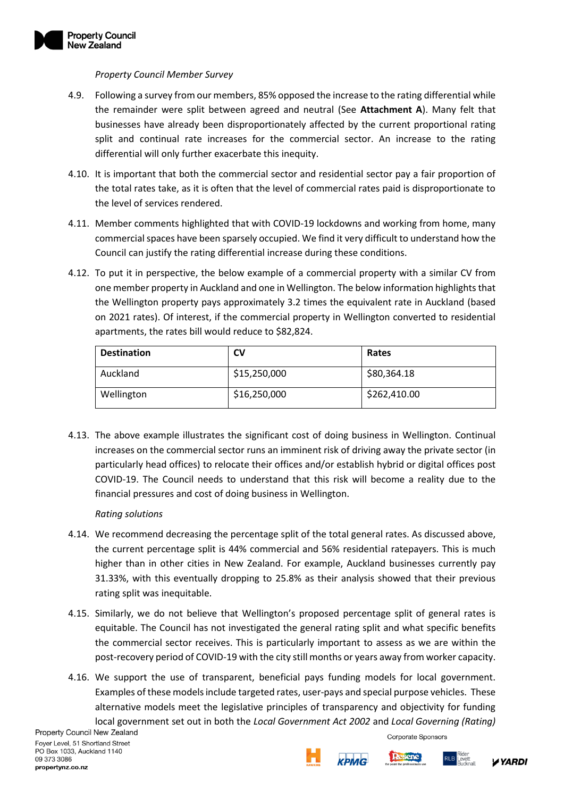

#### *Property Council Member Survey*

- 4.9. Following a survey from our members, 85% opposed the increase to the rating differential while the remainder were split between agreed and neutral (See **Attachment A**). Many felt that businesses have already been disproportionately affected by the current proportional rating split and continual rate increases for the commercial sector. An increase to the rating differential will only further exacerbate this inequity.
- 4.10. It is important that both the commercial sector and residential sector pay a fair proportion of the total rates take, as it is often that the level of commercial rates paid is disproportionate to the level of services rendered.
- 4.11. Member comments highlighted that with COVID-19 lockdowns and working from home, many commercial spaces have been sparsely occupied. We find it very difficult to understand how the Council can justify the rating differential increase during these conditions.
- 4.12. To put it in perspective, the below example of a commercial property with a similar CV from one member property in Auckland and one in Wellington. The below information highlights that the Wellington property pays approximately 3.2 times the equivalent rate in Auckland (based on 2021 rates). Of interest, if the commercial property in Wellington converted to residential apartments, the rates bill would reduce to \$82,824.

| <b>Destination</b> | CV           | Rates        |
|--------------------|--------------|--------------|
| Auckland           | \$15,250,000 | \$80,364.18  |
| Wellington         | \$16,250,000 | \$262,410.00 |

4.13. The above example illustrates the significant cost of doing business in Wellington. Continual increases on the commercial sector runs an imminent risk of driving away the private sector (in particularly head offices) to relocate their offices and/or establish hybrid or digital offices post COVID-19. The Council needs to understand that this risk will become a reality due to the financial pressures and cost of doing business in Wellington.

## *Rating solutions*

- 4.14. We recommend decreasing the percentage split of the total general rates. As discussed above, the current percentage split is 44% commercial and 56% residential ratepayers. This is much higher than in other cities in New Zealand. For example, Auckland businesses currently pay 31.33%, with this eventually dropping to 25.8% as their analysis showed that their previous rating split was inequitable.
- 4.15. Similarly, we do not believe that Wellington's proposed percentage split of general rates is equitable. The Council has not investigated the general rating split and what specific benefits the commercial sector receives. This is particularly important to assess as we are within the post-recovery period of COVID-19 with the city still months or years away from worker capacity.
- 4.16. We support the use of transparent, beneficial pays funding models for local government. Examples of these models include targeted rates, user-pays and special purpose vehicles. These alternative models meet the legislative principles of transparency and objectivity for funding local government set out in both the *Local Government Act 2002* and *Local Governing (Rating)*

Corporate Sponsors



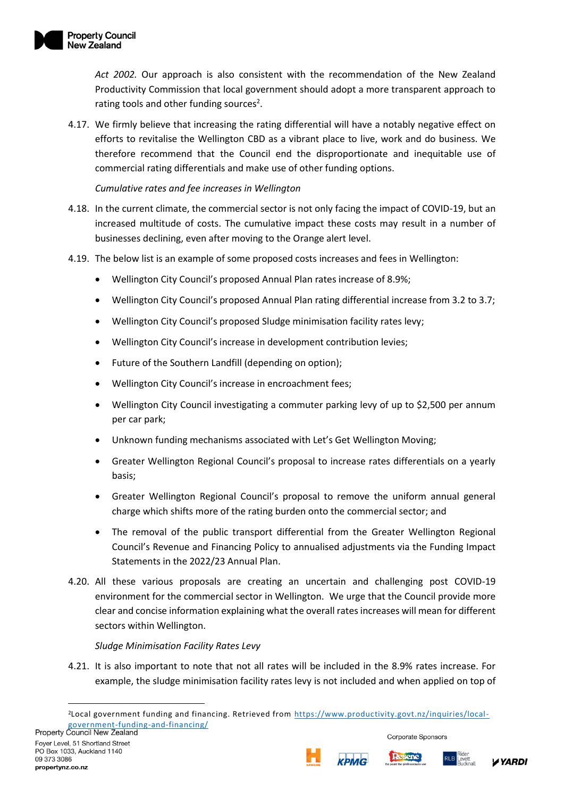

*Act 2002.* Our approach is also consistent with the recommendation of the New Zealand Productivity Commission that local government should adopt a more transparent approach to rating tools and other funding sources<sup>2</sup>.

4.17. We firmly believe that increasing the rating differential will have a notably negative effect on efforts to revitalise the Wellington CBD as a vibrant place to live, work and do business. We therefore recommend that the Council end the disproportionate and inequitable use of commercial rating differentials and make use of other funding options.

*Cumulative rates and fee increases in Wellington*

- 4.18. In the current climate, the commercial sector is not only facing the impact of COVID-19, but an increased multitude of costs. The cumulative impact these costs may result in a number of businesses declining, even after moving to the Orange alert level.
- 4.19. The below list is an example of some proposed costs increases and fees in Wellington:
	- Wellington City Council's proposed Annual Plan rates increase of 8.9%;
	- Wellington City Council's proposed Annual Plan rating differential increase from 3.2 to 3.7;
	- Wellington City Council's proposed Sludge minimisation facility rates levy;
	- Wellington City Council's increase in development contribution levies;
	- Future of the Southern Landfill (depending on option);
	- Wellington City Council's increase in encroachment fees;
	- Wellington City Council investigating a commuter parking levy of up to \$2,500 per annum per car park;
	- Unknown funding mechanisms associated with Let's Get Wellington Moving;
	- Greater Wellington Regional Council's proposal to increase rates differentials on a yearly basis;
	- Greater Wellington Regional Council's proposal to remove the uniform annual general charge which shifts more of the rating burden onto the commercial sector; and
	- The removal of the public transport differential from the Greater Wellington Regional Council's Revenue and Financing Policy to annualised adjustments via the Funding Impact Statements in the 2022/23 Annual Plan.
- 4.20. All these various proposals are creating an uncertain and challenging post COVID-19 environment for the commercial sector in Wellington. We urge that the Council provide more clear and concise information explaining what the overall rates increases will mean for different sectors within Wellington.

#### *Sludge Minimisation Facility Rates Levy*

4.21. It is also important to note that not all rates will be included in the 8.9% rates increase. For example, the sludge minimisation facility rates levy is not included and when applied on top of







<sup>2</sup>Local government funding and financing. Retrieved from [https://www.productivity.govt.nz/inquiries/local](https://www.productivity.govt.nz/inquiries/local-government-funding-and-financing/)[government-funding-and-financing/](https://www.productivity.govt.nz/inquiries/local-government-funding-and-financing/)<br>Property Council New Zealand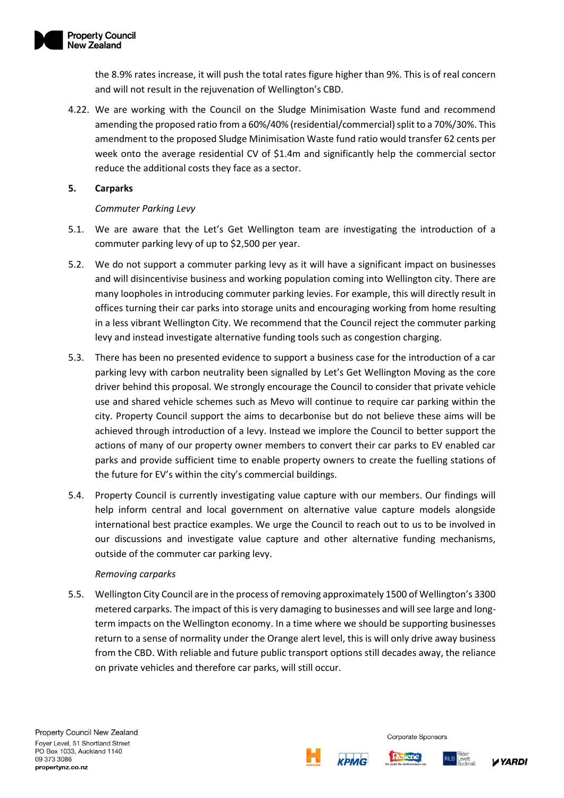

the 8.9% rates increase, it will push the total rates figure higher than 9%. This is of real concern and will not result in the rejuvenation of Wellington's CBD.

4.22. We are working with the Council on the Sludge Minimisation Waste fund and recommend amending the proposed ratio from a 60%/40% (residential/commercial) split to a 70%/30%. This amendment to the proposed Sludge Minimisation Waste fund ratio would transfer 62 cents per week onto the average residential CV of \$1.4m and significantly help the commercial sector reduce the additional costs they face as a sector.

## **5. Carparks**

## *Commuter Parking Levy*

- 5.1. We are aware that the Let's Get Wellington team are investigating the introduction of a commuter parking levy of up to \$2,500 per year.
- 5.2. We do not support a commuter parking levy as it will have a significant impact on businesses and will disincentivise business and working population coming into Wellington city. There are many loopholes in introducing commuter parking levies. For example, this will directly result in offices turning their car parks into storage units and encouraging working from home resulting in a less vibrant Wellington City. We recommend that the Council reject the commuter parking levy and instead investigate alternative funding tools such as congestion charging.
- 5.3. There has been no presented evidence to support a business case for the introduction of a car parking levy with carbon neutrality been signalled by Let's Get Wellington Moving as the core driver behind this proposal. We strongly encourage the Council to consider that private vehicle use and shared vehicle schemes such as Mevo will continue to require car parking within the city. Property Council support the aims to decarbonise but do not believe these aims will be achieved through introduction of a levy. Instead we implore the Council to better support the actions of many of our property owner members to convert their car parks to EV enabled car parks and provide sufficient time to enable property owners to create the fuelling stations of the future for EV's within the city's commercial buildings.
- 5.4. Property Council is currently investigating value capture with our members. Our findings will help inform central and local government on alternative value capture models alongside international best practice examples. We urge the Council to reach out to us to be involved in our discussions and investigate value capture and other alternative funding mechanisms, outside of the commuter car parking levy.

## *Removing carparks*

5.5. Wellington City Council are in the process of removing approximately 1500 of Wellington's 3300 metered carparks. The impact of this is very damaging to businesses and will see large and longterm impacts on the Wellington economy. In a time where we should be supporting businesses return to a sense of normality under the Orange alert level, this is will only drive away business from the CBD. With reliable and future public transport options still decades away, the reliance on private vehicles and therefore car parks, will still occur.





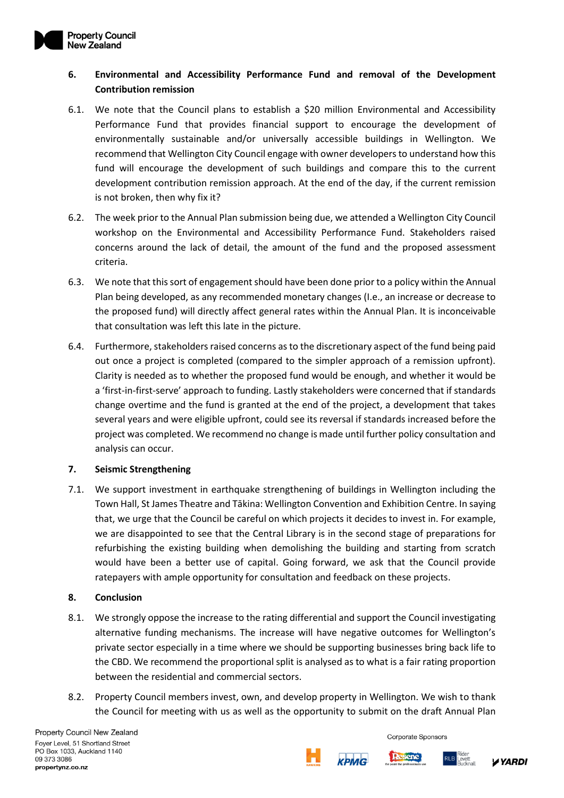

# **6. Environmental and Accessibility Performance Fund and removal of the Development Contribution remission**

- 6.1. We note that the Council plans to establish a \$20 million Environmental and Accessibility Performance Fund that provides financial support to encourage the development of environmentally sustainable and/or universally accessible buildings in Wellington. We recommend that Wellington City Council engage with owner developers to understand how this fund will encourage the development of such buildings and compare this to the current development contribution remission approach. At the end of the day, if the current remission is not broken, then why fix it?
- 6.2. The week prior to the Annual Plan submission being due, we attended a Wellington City Council workshop on the Environmental and Accessibility Performance Fund. Stakeholders raised concerns around the lack of detail, the amount of the fund and the proposed assessment criteria.
- 6.3. We note that this sort of engagement should have been done prior to a policy within the Annual Plan being developed, as any recommended monetary changes (I.e., an increase or decrease to the proposed fund) will directly affect general rates within the Annual Plan. It is inconceivable that consultation was left this late in the picture.
- 6.4. Furthermore, stakeholders raised concerns as to the discretionary aspect of the fund being paid out once a project is completed (compared to the simpler approach of a remission upfront). Clarity is needed as to whether the proposed fund would be enough, and whether it would be a 'first-in-first-serve' approach to funding. Lastly stakeholders were concerned that if standards change overtime and the fund is granted at the end of the project, a development that takes several years and were eligible upfront, could see its reversal if standards increased before the project was completed. We recommend no change is made until further policy consultation and analysis can occur.

## **7. Seismic Strengthening**

7.1. We support investment in earthquake strengthening of buildings in Wellington including the Town Hall, St James Theatre and Tākina: Wellington Convention and Exhibition Centre. In saying that, we urge that the Council be careful on which projects it decides to invest in. For example, we are disappointed to see that the Central Library is in the second stage of preparations for refurbishing the existing building when demolishing the building and starting from scratch would have been a better use of capital. Going forward, we ask that the Council provide ratepayers with ample opportunity for consultation and feedback on these projects.

#### **8. Conclusion**

- 8.1. We strongly oppose the increase to the rating differential and support the Council investigating alternative funding mechanisms. The increase will have negative outcomes for Wellington's private sector especially in a time where we should be supporting businesses bring back life to the CBD. We recommend the proportional split is analysed as to what is a fair rating proportion between the residential and commercial sectors.
- 8.2. Property Council members invest, own, and develop property in Wellington. We wish to thank the Council for meeting with us as well as the opportunity to submit on the draft Annual Plan

Property Council New Zealand Fover Level, 51 Shortland Street PO Box 1033, Auckland 1140 09 373 3086 propertynz.co.nz

**KPMG** 





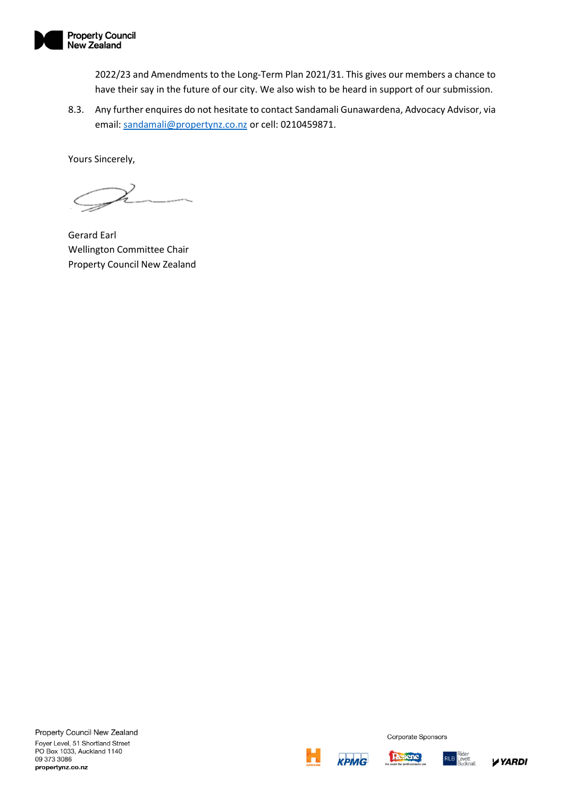

2022/23 and Amendments to the Long-Term Plan 2021/31. This gives our members a chance to have their say in the future of our city. We also wish to be heard in support of our submission.

8.3. Any further enquires do not hesitate to contact Sandamali Gunawardena, Advocacy Advisor, via email: [sandamali@propertynz.co.nz](mailto:sandamali@propertynz.co.nz) or cell: 0210459871.

Yours Sincerely,

Gerard Earl Wellington Committee Chair Property Council New Zealand







**RLB** 

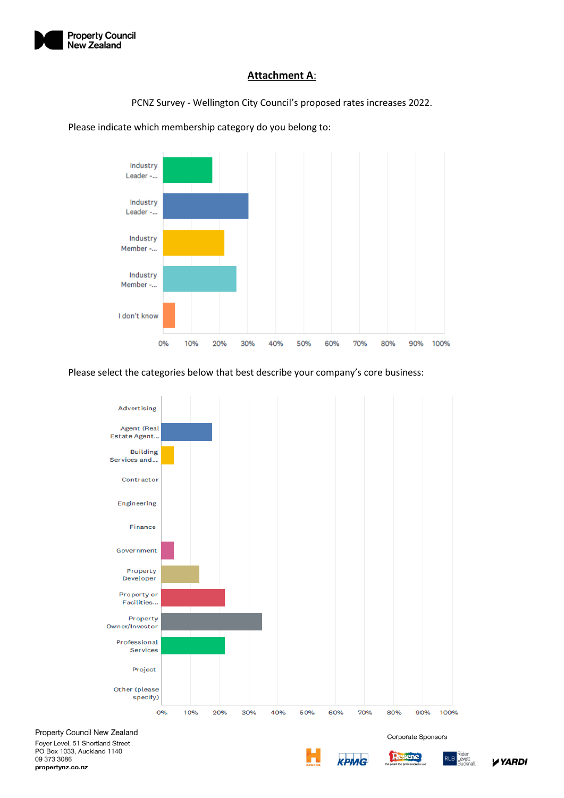

## **Attachment A**:

PCNZ Survey - Wellington City Council's proposed rates increases 2022.



Please indicate which membership category do you belong to:

Please select the categories below that best describe your company's core business:



Property Council New Zealand

Foyer Level, 51 Shortland Street PO Box 1033, Auckland 1140 09 373 3086 propertynz.co.nz



Corporate Sponsors

\ De

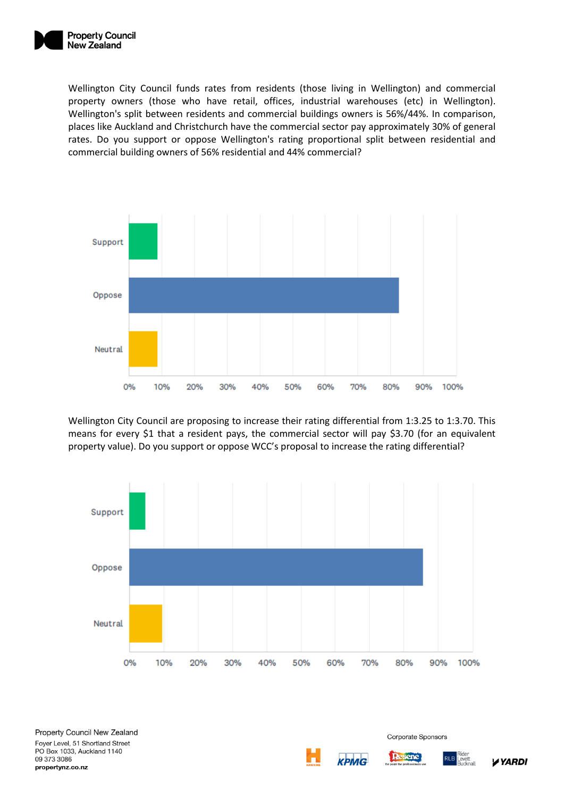

Wellington City Council funds rates from residents (those living in Wellington) and commercial property owners (those who have retail, offices, industrial warehouses (etc) in Wellington). Wellington's split between residents and commercial buildings owners is 56%/44%. In comparison, places like Auckland and Christchurch have the commercial sector pay approximately 30% of general rates. Do you support or oppose Wellington's rating proportional split between residential and commercial building owners of 56% residential and 44% commercial?



Wellington City Council are proposing to increase their rating differential from 1:3.25 to 1:3.70. This means for every \$1 that a resident pays, the commercial sector will pay \$3.70 (for an equivalent property value). Do you support or oppose WCC's proposal to increase the rating differential?



крмG



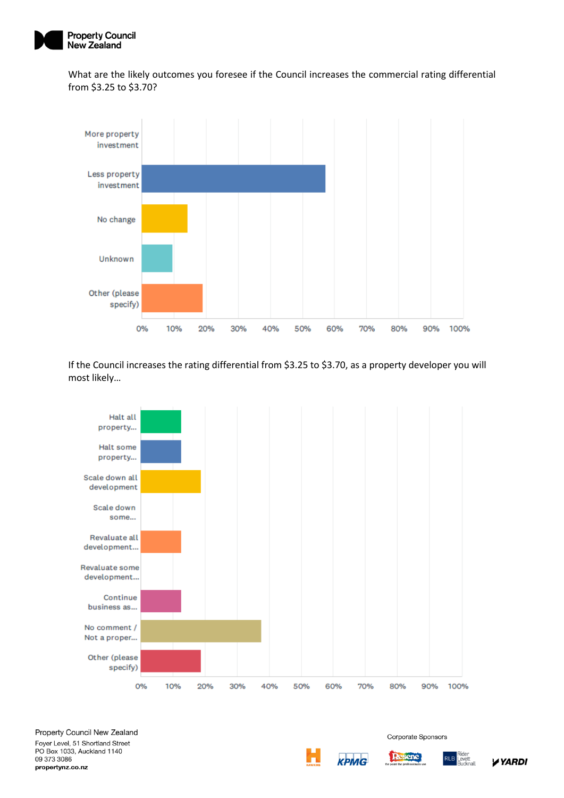

What are the likely outcomes you foresee if the Council increases the commercial rating differential from \$3.25 to \$3.70?



If the Council increases the rating differential from \$3.25 to \$3.70, as a property developer you will most likely…





Corporate Sponsors

RLB

\ De

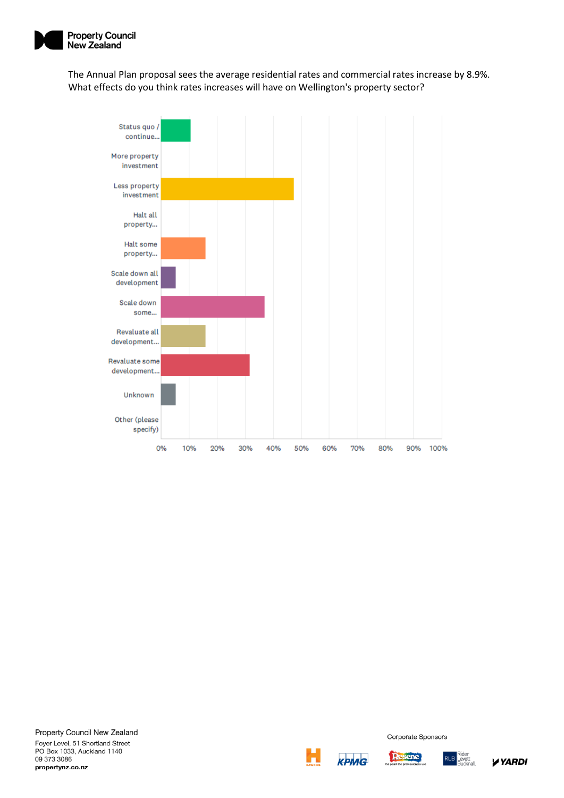

The Annual Plan proposal sees the average residential rates and commercial rates increase by 8.9%. What effects do you think rates increases will have on Wellington's property sector?







Resene

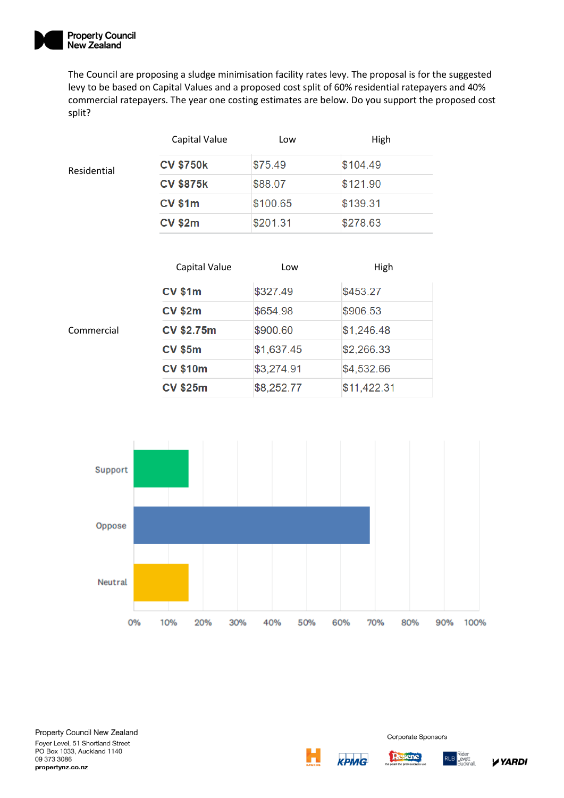

The Council are proposing a sludge minimisation facility rates levy. The proposal is for the suggested levy to be based on Capital Values and a proposed cost split of 60% residential ratepayers and 40% commercial ratepayers. The year one costing estimates are below. Do you support the proposed cost split?

|             | Capital Value    | Low      | High     |
|-------------|------------------|----------|----------|
| Residential | <b>CV \$750k</b> | \$75.49  | \$104.49 |
|             | <b>CV \$875k</b> | \$88.07  | \$121.90 |
|             | <b>CV \$1m</b>   | \$100.65 | \$139.31 |
|             | <b>CV \$2m</b>   | \$201.31 | \$278.63 |

|            | Capital Value     | Low        | High        |
|------------|-------------------|------------|-------------|
|            | <b>CV \$1m</b>    | \$327.49   | \$453.27    |
|            | <b>CV \$2m</b>    | \$654.98   | \$906.53    |
| Commercial | <b>CV \$2.75m</b> | \$900.60   | \$1,246.48  |
|            | <b>CV \$5m</b>    | \$1,637.45 | \$2,266.33  |
|            | <b>CV \$10m</b>   | \$3,274.91 | \$4,532.66  |
|            | <b>CV \$25m</b>   | \$8,252.77 | \$11,422.31 |



Property Council New Zealand Foyer Level, 51 Shortland Street PO Box 1033, Auckland 1140 09 373 3086 propertynz.co.nz



Corporate Sponsors

**RLB** 

**Resene**